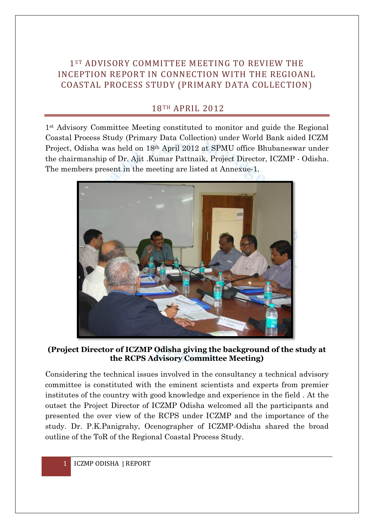## 1ST ADVISORY COMMITTEE MEETING TO REVIEW THE INCEPTION REPORT IN CONNECTION WITH THE REGIOANL COASTAL PROCESS STUDY (PRIMARY DATA COLLECTION)

## 18TH APRIL 2012

1st Advisory Committee Meeting constituted to monitor and guide the Regional Coastal Process Study (Primary Data Collection) under World Bank aided ICZM Project, Odisha was held on 18th April 2012 at SPMU office Bhubaneswar under the chairmanship of Dr. Ajit .Kumar Pattnaik, Project Director, ICZMP - Odisha. The members present in the meeting are listed at Annexue-1.



**(Project Director of ICZMP Odisha giving the background of the study at the RCPS Advisory Committee Meeting)**

Considering the technical issues involved in the consultancy a technical advisory committee is constituted with the eminent scientists and experts from premier institutes of the country with good knowledge and experience in the field . At the outset the Project Director of ICZMP Odisha welcomed all the participants and presented the over view of the RCPS under ICZMP and the importance of the study. Dr. P.K.Panigrahy, Ocenographer of ICZMP-Odisha shared the broad outline of the ToR of the Regional Coastal Process Study.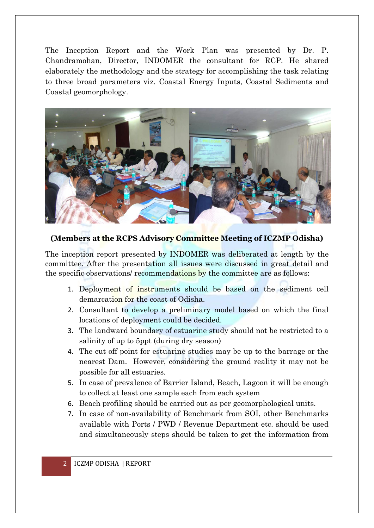The Inception Report and the Work Plan was presented by Dr. P. Chandramohan, Director, INDOMER the consultant for RCP. He shared elaborately the methodology and the strategy for accomplishing the task relating to three broad parameters viz. Coastal Energy Inputs, Coastal Sediments and Coastal geomorphology.



**(Members at the RCPS Advisory Committee Meeting of ICZMP Odisha)**

The inception report presented by INDOMER was deliberated at length by the committee. After the presentation all issues were discussed in great detail and the specific observations/ recommendations by the committee are as follows:

- 1. Deployment of instruments should be based on the sediment cell demarcation for the coast of Odisha.
- 2. Consultant to develop a preliminary model based on which the final locations of deployment could be decided.
- 3. The landward boundary of estuarine study should not be restricted to a salinity of up to 5ppt (during dry season)
- 4. The cut off point for estuarine studies may be up to the barrage or the nearest Dam. However, considering the ground reality it may not be possible for all estuaries.
- 5. In case of prevalence of Barrier Island, Beach, Lagoon it will be enough to collect at least one sample each from each system
- 6. Beach profiling should be carried out as per geomorphological units.
- 7. In case of non-availability of Benchmark from SOI, other Benchmarks available with Ports / PWD / Revenue Department etc. should be used and simultaneously steps should be taken to get the information from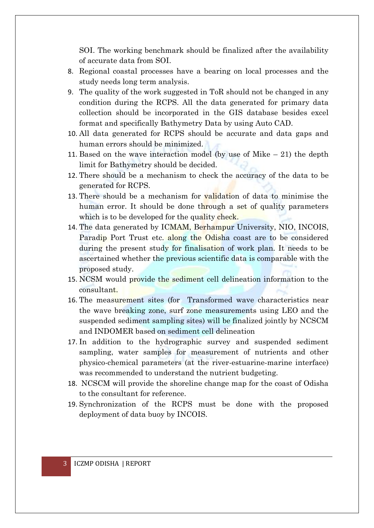SOI. The working benchmark should be finalized after the availability of accurate data from SOI.

- 8. Regional coastal processes have a bearing on local processes and the study needs long term analysis.
- 9. The quality of the work suggested in ToR should not be changed in any condition during the RCPS. All the data generated for primary data collection should be incorporated in the GIS database besides excel format and specifically Bathymetry Data by using Auto CAD.
- 10. All data generated for RCPS should be accurate and data gaps and human errors should be minimized.
- 11. Based on the wave interaction model (by use of Mike  $-21$ ) the depth limit for Bathymetry should be decided.
- 12. There should be a mechanism to check the accuracy of the data to be generated for RCPS.
- 13. There should be a mechanism for validation of data to minimise the human error. It should be done through a set of quality parameters which is to be developed for the quality check.
- 14. The data generated by ICMAM, Berhampur University, NIO, INCOIS, Paradip Port Trust etc. along the Odisha coast are to be considered during the present study for finalisation of work plan. It needs to be ascertained whether the previous scientific data is comparable with the proposed study.
- 15. NCSM would provide the sediment cell delineation information to the consultant.
- 16. The measurement sites (for Transformed wave characteristics near the wave breaking zone, surf zone measurements using LEO and the suspended sediment sampling sites) will be finalized jointly by NCSCM and INDOMER based on sediment cell delineation
- 17. In addition to the hydrographic survey and suspended sediment sampling, water samples for measurement of nutrients and other physico-chemical parameters (at the river-estuarine-marine interface) was recommended to understand the nutrient budgeting.
- 18. NCSCM will provide the shoreline change map for the coast of Odisha to the consultant for reference.
- 19. Synchronization of the RCPS must be done with the proposed deployment of data buoy by INCOIS.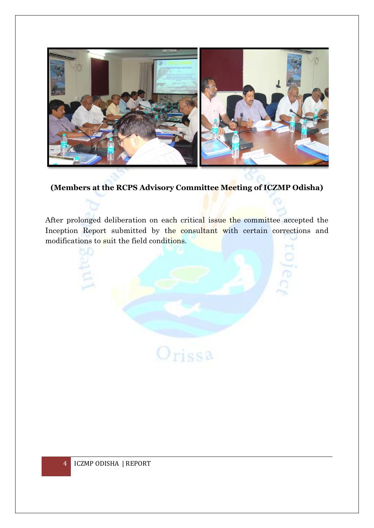

## **(Members at the RCPS Advisory Committee Meeting of ICZMP Odisha)**

After prolonged deliberation on each critical issue the committee accepted the Inception Report submitted by the consultant with certain corrections and modifications to suit the field conditions.